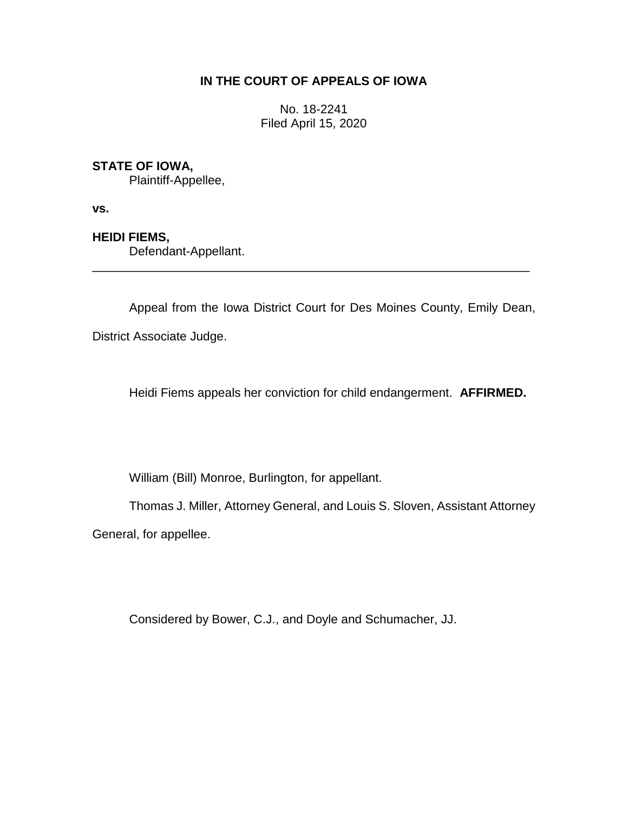# **IN THE COURT OF APPEALS OF IOWA**

No. 18-2241 Filed April 15, 2020

## **STATE OF IOWA,**

Plaintiff-Appellee,

**vs.**

## **HEIDI FIEMS,**

Defendant-Appellant.

Appeal from the Iowa District Court for Des Moines County, Emily Dean, District Associate Judge.

\_\_\_\_\_\_\_\_\_\_\_\_\_\_\_\_\_\_\_\_\_\_\_\_\_\_\_\_\_\_\_\_\_\_\_\_\_\_\_\_\_\_\_\_\_\_\_\_\_\_\_\_\_\_\_\_\_\_\_\_\_\_\_\_

Heidi Fiems appeals her conviction for child endangerment. **AFFIRMED.**

William (Bill) Monroe, Burlington, for appellant.

Thomas J. Miller, Attorney General, and Louis S. Sloven, Assistant Attorney

General, for appellee.

Considered by Bower, C.J., and Doyle and Schumacher, JJ.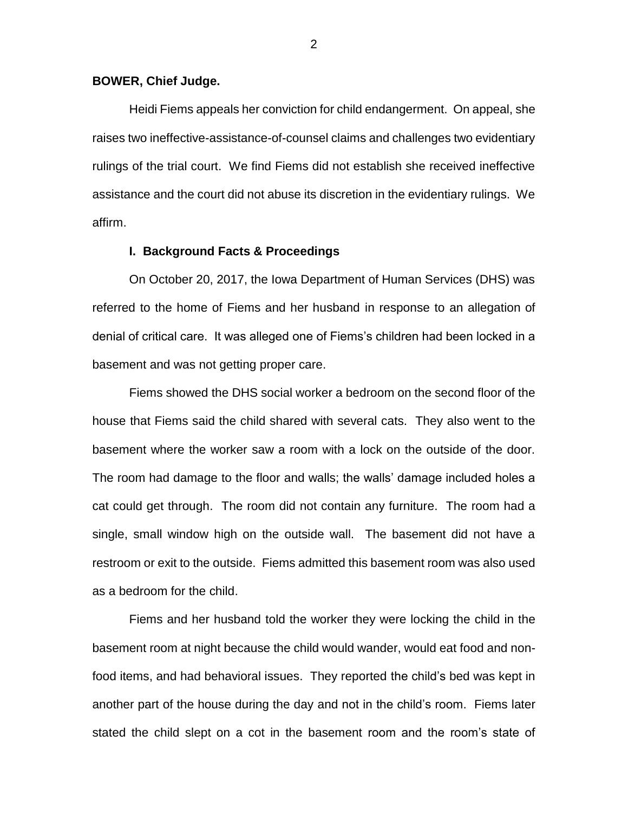#### **BOWER, Chief Judge.**

Heidi Fiems appeals her conviction for child endangerment. On appeal, she raises two ineffective-assistance-of-counsel claims and challenges two evidentiary rulings of the trial court. We find Fiems did not establish she received ineffective assistance and the court did not abuse its discretion in the evidentiary rulings. We affirm.

#### **I. Background Facts & Proceedings**

On October 20, 2017, the Iowa Department of Human Services (DHS) was referred to the home of Fiems and her husband in response to an allegation of denial of critical care. It was alleged one of Fiems's children had been locked in a basement and was not getting proper care.

Fiems showed the DHS social worker a bedroom on the second floor of the house that Fiems said the child shared with several cats. They also went to the basement where the worker saw a room with a lock on the outside of the door. The room had damage to the floor and walls; the walls' damage included holes a cat could get through. The room did not contain any furniture. The room had a single, small window high on the outside wall. The basement did not have a restroom or exit to the outside. Fiems admitted this basement room was also used as a bedroom for the child.

Fiems and her husband told the worker they were locking the child in the basement room at night because the child would wander, would eat food and nonfood items, and had behavioral issues. They reported the child's bed was kept in another part of the house during the day and not in the child's room. Fiems later stated the child slept on a cot in the basement room and the room's state of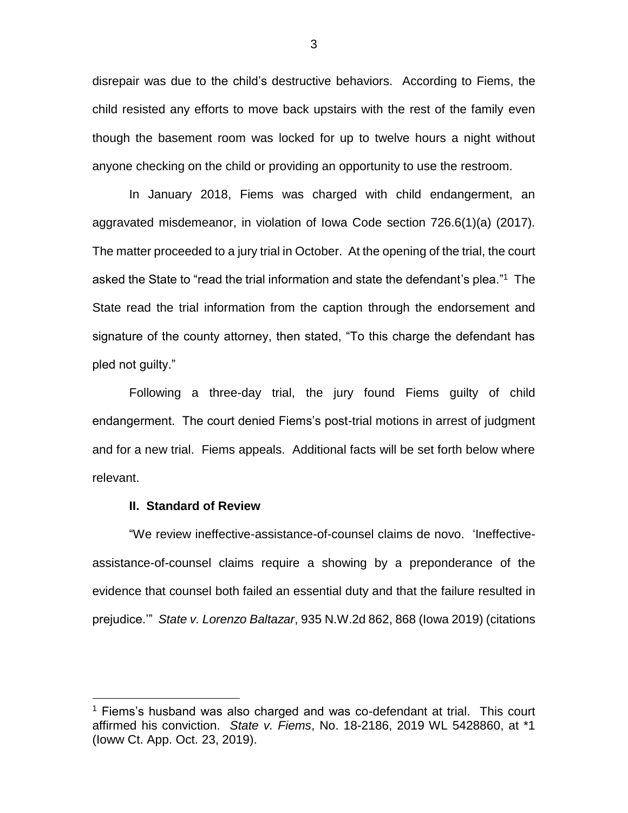disrepair was due to the child's destructive behaviors. According to Fiems, the child resisted any efforts to move back upstairs with the rest of the family even though the basement room was locked for up to twelve hours a night without anyone checking on the child or providing an opportunity to use the restroom.

In January 2018, Fiems was charged with child endangerment, an aggravated misdemeanor, in violation of Iowa Code section 726.6(1)(a) (2017). The matter proceeded to a jury trial in October. At the opening of the trial, the court asked the State to "read the trial information and state the defendant's plea."<sup>1</sup> The State read the trial information from the caption through the endorsement and signature of the county attorney, then stated, "To this charge the defendant has pled not guilty."

Following a three-day trial, the jury found Fiems guilty of child endangerment. The court denied Fiems's post-trial motions in arrest of judgment and for a new trial. Fiems appeals. Additional facts will be set forth below where relevant.

### **II. Standard of Review**

 $\overline{a}$ 

"We review ineffective-assistance-of-counsel claims de novo. 'Ineffectiveassistance-of-counsel claims require a showing by a preponderance of the evidence that counsel both failed an essential duty and that the failure resulted in prejudice.'" *State v. Lorenzo Baltazar*, 935 N.W.2d 862, 868 (Iowa 2019) (citations

 $1$  Fiems's husband was also charged and was co-defendant at trial. This court affirmed his conviction. *State v. Fiems*, No. 18-2186, 2019 WL 5428860, at \*1 (Ioww Ct. App. Oct. 23, 2019).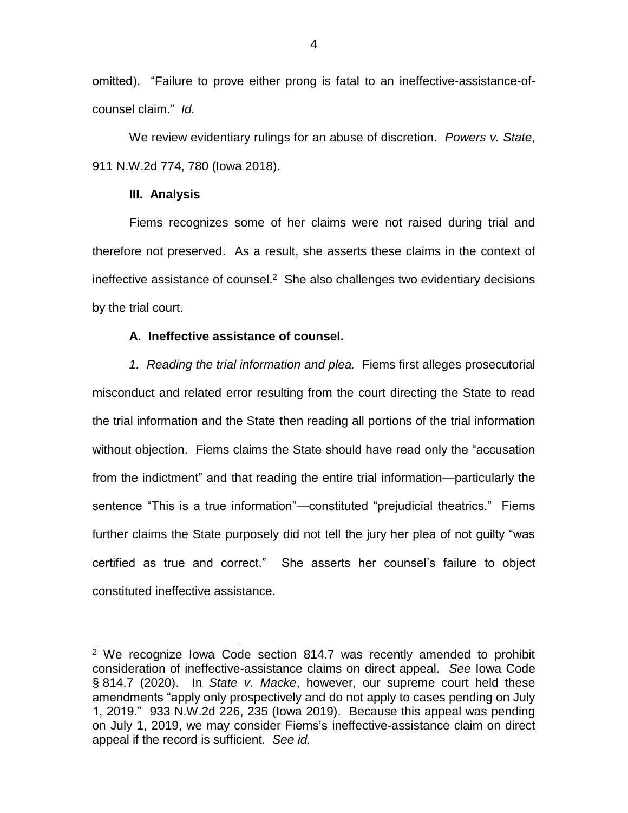omitted). "Failure to prove either prong is fatal to an ineffective-assistance-ofcounsel claim." *Id.*

We review evidentiary rulings for an abuse of discretion. *Powers v. State*, 911 N.W.2d 774, 780 (Iowa 2018).

### **III. Analysis**

 $\overline{a}$ 

Fiems recognizes some of her claims were not raised during trial and therefore not preserved. As a result, she asserts these claims in the context of ineffective assistance of counsel. $2$  She also challenges two evidentiary decisions by the trial court.

## **A. Ineffective assistance of counsel.**

*1. Reading the trial information and plea.* Fiems first alleges prosecutorial misconduct and related error resulting from the court directing the State to read the trial information and the State then reading all portions of the trial information without objection. Fiems claims the State should have read only the "accusation from the indictment" and that reading the entire trial information—particularly the sentence "This is a true information"—constituted "prejudicial theatrics." Fiems further claims the State purposely did not tell the jury her plea of not guilty "was certified as true and correct." She asserts her counsel's failure to object constituted ineffective assistance.

<sup>&</sup>lt;sup>2</sup> We recognize Iowa Code section 814.7 was recently amended to prohibit consideration of ineffective-assistance claims on direct appeal. *See* Iowa Code § 814.7 (2020). In *State v. Macke*, however, our supreme court held these amendments "apply only prospectively and do not apply to cases pending on July 1, 2019." 933 N.W.2d 226, 235 (Iowa 2019). Because this appeal was pending on July 1, 2019, we may consider Fiems's ineffective-assistance claim on direct appeal if the record is sufficient. *See id.*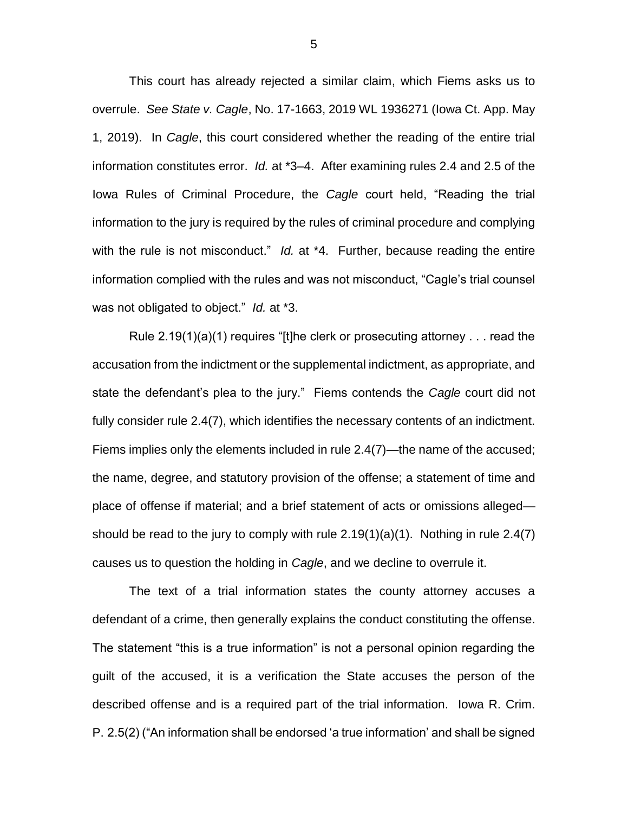This court has already rejected a similar claim, which Fiems asks us to overrule. *See State v. Cagle*, No. 17-1663, 2019 WL 1936271 (Iowa Ct. App. May 1, 2019). In *Cagle*, this court considered whether the reading of the entire trial information constitutes error. *Id.* at \*3–4. After examining rules 2.4 and 2.5 of the Iowa Rules of Criminal Procedure, the *Cagle* court held, "Reading the trial information to the jury is required by the rules of criminal procedure and complying with the rule is not misconduct." *Id.* at \*4. Further, because reading the entire information complied with the rules and was not misconduct, "Cagle's trial counsel was not obligated to object." *Id.* at \*3.

Rule 2.19(1)(a)(1) requires "[t]he clerk or prosecuting attorney . . . read the accusation from the indictment or the supplemental indictment, as appropriate, and state the defendant's plea to the jury." Fiems contends the *Cagle* court did not fully consider rule 2.4(7), which identifies the necessary contents of an indictment. Fiems implies only the elements included in rule 2.4(7)—the name of the accused; the name, degree, and statutory provision of the offense; a statement of time and place of offense if material; and a brief statement of acts or omissions alleged should be read to the jury to comply with rule  $2.19(1)(a)(1)$ . Nothing in rule  $2.4(7)$ causes us to question the holding in *Cagle*, and we decline to overrule it.

The text of a trial information states the county attorney accuses a defendant of a crime, then generally explains the conduct constituting the offense. The statement "this is a true information" is not a personal opinion regarding the guilt of the accused, it is a verification the State accuses the person of the described offense and is a required part of the trial information. Iowa R. Crim. P. 2.5(2) ("An information shall be endorsed 'a true information' and shall be signed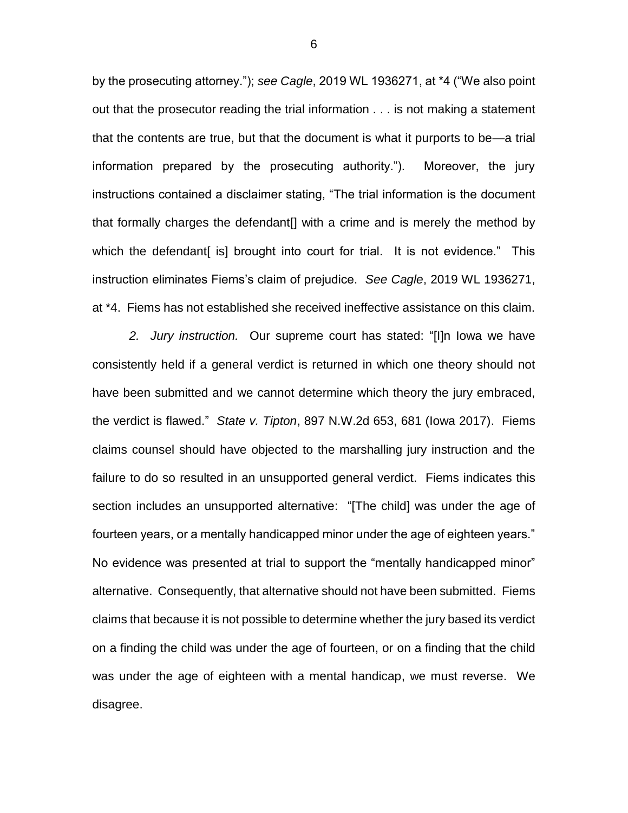by the prosecuting attorney."); *see Cagle*, 2019 WL 1936271, at \*4 ("We also point out that the prosecutor reading the trial information . . . is not making a statement that the contents are true, but that the document is what it purports to be—a trial information prepared by the prosecuting authority."). Moreover, the jury instructions contained a disclaimer stating, "The trial information is the document that formally charges the defendant[] with a crime and is merely the method by which the defendant [is] brought into court for trial. It is not evidence." This instruction eliminates Fiems's claim of prejudice. *See Cagle*, 2019 WL 1936271, at \*4. Fiems has not established she received ineffective assistance on this claim.

*2. Jury instruction.* Our supreme court has stated: "[I]n Iowa we have consistently held if a general verdict is returned in which one theory should not have been submitted and we cannot determine which theory the jury embraced, the verdict is flawed." *State v. Tipton*, 897 N.W.2d 653, 681 (Iowa 2017). Fiems claims counsel should have objected to the marshalling jury instruction and the failure to do so resulted in an unsupported general verdict. Fiems indicates this section includes an unsupported alternative: "[The child] was under the age of fourteen years, or a mentally handicapped minor under the age of eighteen years." No evidence was presented at trial to support the "mentally handicapped minor" alternative. Consequently, that alternative should not have been submitted. Fiems claims that because it is not possible to determine whether the jury based its verdict on a finding the child was under the age of fourteen, or on a finding that the child was under the age of eighteen with a mental handicap, we must reverse. We disagree.

6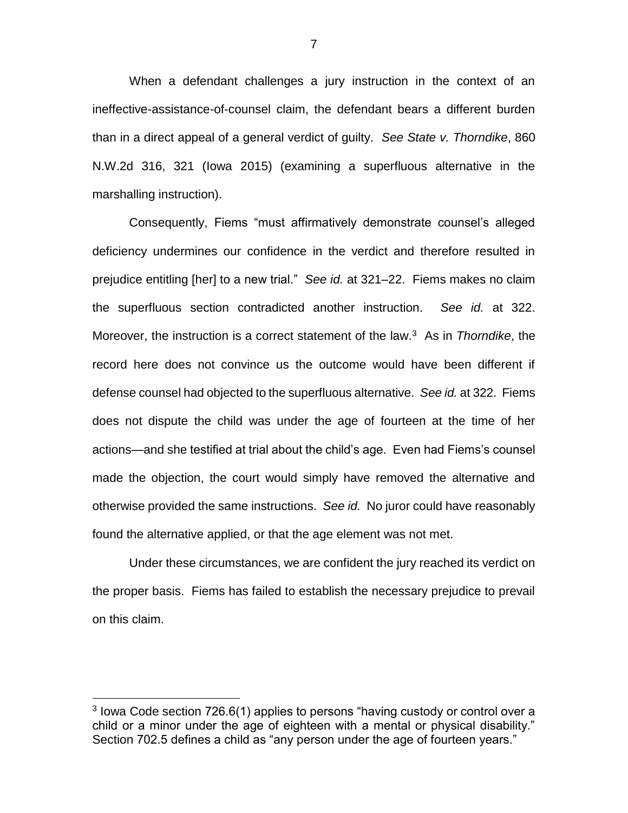When a defendant challenges a jury instruction in the context of an ineffective-assistance-of-counsel claim, the defendant bears a different burden than in a direct appeal of a general verdict of guilty. *See State v. Thorndike*, 860 N.W.2d 316, 321 (Iowa 2015) (examining a superfluous alternative in the marshalling instruction).

Consequently, Fiems "must affirmatively demonstrate counsel's alleged deficiency undermines our confidence in the verdict and therefore resulted in prejudice entitling [her] to a new trial." *See id.* at 321–22. Fiems makes no claim the superfluous section contradicted another instruction. *See id.* at 322. Moreover, the instruction is a correct statement of the law.<sup>3</sup> As in *Thorndike*, the record here does not convince us the outcome would have been different if defense counsel had objected to the superfluous alternative. *See id.* at 322. Fiems does not dispute the child was under the age of fourteen at the time of her actions—and she testified at trial about the child's age. Even had Fiems's counsel made the objection, the court would simply have removed the alternative and otherwise provided the same instructions. *See id.* No juror could have reasonably found the alternative applied, or that the age element was not met.

Under these circumstances, we are confident the jury reached its verdict on the proper basis. Fiems has failed to establish the necessary prejudice to prevail on this claim.

 $\overline{a}$ 

 $3$  lowa Code section 726.6(1) applies to persons "having custody or control over a child or a minor under the age of eighteen with a mental or physical disability." Section 702.5 defines a child as "any person under the age of fourteen years."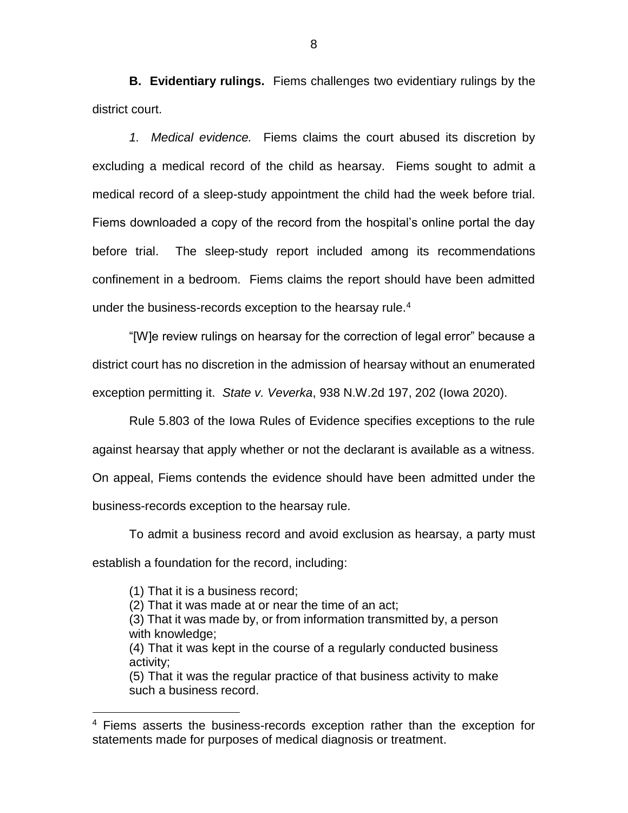**B. Evidentiary rulings.** Fiems challenges two evidentiary rulings by the district court.

*1. Medical evidence.* Fiems claims the court abused its discretion by excluding a medical record of the child as hearsay. Fiems sought to admit a medical record of a sleep-study appointment the child had the week before trial. Fiems downloaded a copy of the record from the hospital's online portal the day before trial. The sleep-study report included among its recommendations confinement in a bedroom. Fiems claims the report should have been admitted under the business-records exception to the hearsay rule.<sup>4</sup>

"[W]e review rulings on hearsay for the correction of legal error" because a district court has no discretion in the admission of hearsay without an enumerated exception permitting it. *State v. Veverka*, 938 N.W.2d 197, 202 (Iowa 2020).

Rule 5.803 of the Iowa Rules of Evidence specifies exceptions to the rule against hearsay that apply whether or not the declarant is available as a witness. On appeal, Fiems contends the evidence should have been admitted under the business-records exception to the hearsay rule.

To admit a business record and avoid exclusion as hearsay, a party must establish a foundation for the record, including:

(1) That it is a business record;

 $\overline{a}$ 

(2) That it was made at or near the time of an act;

(3) That it was made by, or from information transmitted by, a person with knowledge;

(4) That it was kept in the course of a regularly conducted business activity;

(5) That it was the regular practice of that business activity to make such a business record.

<sup>&</sup>lt;sup>4</sup> Fiems asserts the business-records exception rather than the exception for statements made for purposes of medical diagnosis or treatment.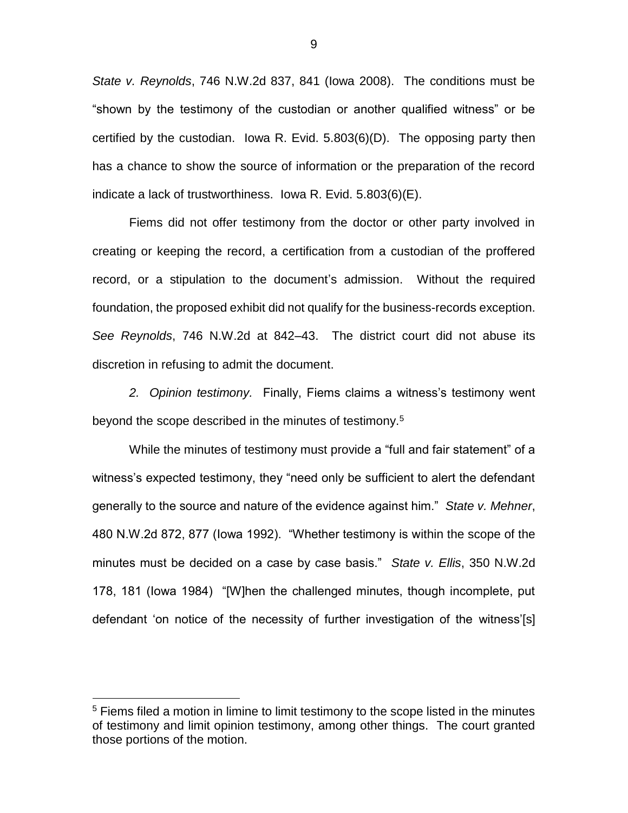*State v. Reynolds*, 746 N.W.2d 837, 841 (Iowa 2008). The conditions must be "shown by the testimony of the custodian or another qualified witness" or be certified by the custodian. Iowa R. Evid. 5.803(6)(D). The opposing party then has a chance to show the source of information or the preparation of the record indicate a lack of trustworthiness. Iowa R. Evid. 5.803(6)(E).

Fiems did not offer testimony from the doctor or other party involved in creating or keeping the record, a certification from a custodian of the proffered record, or a stipulation to the document's admission. Without the required foundation, the proposed exhibit did not qualify for the business-records exception. *See Reynolds*, 746 N.W.2d at 842–43. The district court did not abuse its discretion in refusing to admit the document.

*2. Opinion testimony.* Finally, Fiems claims a witness's testimony went beyond the scope described in the minutes of testimony.<sup>5</sup>

While the minutes of testimony must provide a "full and fair statement" of a witness's expected testimony, they "need only be sufficient to alert the defendant generally to the source and nature of the evidence against him." *State v. Mehner*, 480 N.W.2d 872, 877 (Iowa 1992). "Whether testimony is within the scope of the minutes must be decided on a case by case basis." *State v. Ellis*, 350 N.W.2d 178, 181 (Iowa 1984) "[W]hen the challenged minutes, though incomplete, put defendant 'on notice of the necessity of further investigation of the witness'[s]

 $\overline{a}$ 

<sup>&</sup>lt;sup>5</sup> Fiems filed a motion in limine to limit testimony to the scope listed in the minutes of testimony and limit opinion testimony, among other things. The court granted those portions of the motion.